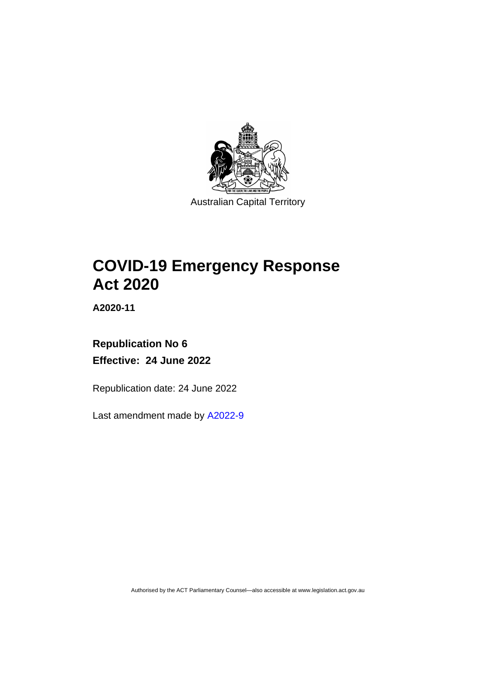

# **COVID-19 Emergency Response Act 2020**

**A2020-11**

# **Republication No 6 Effective: 24 June 2022**

Republication date: 24 June 2022

Last amendment made by [A2022-9](http://www.legislation.act.gov.au/a/2022-9/)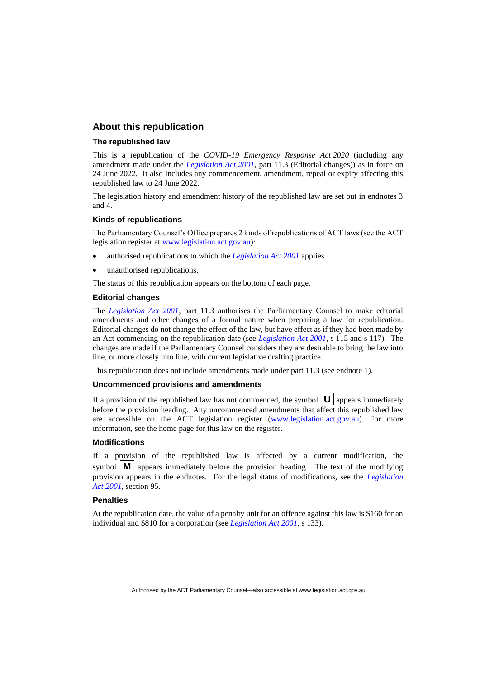## **About this republication**

#### **The republished law**

This is a republication of the *COVID-19 Emergency Response Act 2020* (including any amendment made under the *[Legislation Act 2001](http://www.legislation.act.gov.au/a/2001-14)*, part 11.3 (Editorial changes)) as in force on 24 June 2022*.* It also includes any commencement, amendment, repeal or expiry affecting this republished law to 24 June 2022.

The legislation history and amendment history of the republished law are set out in endnotes 3 and 4.

#### **Kinds of republications**

The Parliamentary Counsel's Office prepares 2 kinds of republications of ACT laws (see the ACT legislation register at [www.legislation.act.gov.au\)](http://www.legislation.act.gov.au/):

- authorised republications to which the *[Legislation Act 2001](http://www.legislation.act.gov.au/a/2001-14)* applies
- unauthorised republications.

The status of this republication appears on the bottom of each page.

#### **Editorial changes**

The *[Legislation Act 2001](http://www.legislation.act.gov.au/a/2001-14)*, part 11.3 authorises the Parliamentary Counsel to make editorial amendments and other changes of a formal nature when preparing a law for republication. Editorial changes do not change the effect of the law, but have effect as if they had been made by an Act commencing on the republication date (see *[Legislation Act 2001](http://www.legislation.act.gov.au/a/2001-14)*, s 115 and s 117). The changes are made if the Parliamentary Counsel considers they are desirable to bring the law into line, or more closely into line, with current legislative drafting practice.

This republication does not include amendments made under part 11.3 (see endnote 1).

#### **Uncommenced provisions and amendments**

If a provision of the republished law has not commenced, the symbol  $\mathbf{U}$  appears immediately before the provision heading. Any uncommenced amendments that affect this republished law are accessible on the ACT legislation register [\(www.legislation.act.gov.au\)](http://www.legislation.act.gov.au/). For more information, see the home page for this law on the register.

#### **Modifications**

If a provision of the republished law is affected by a current modification, the symbol  $\mathbf{M}$  appears immediately before the provision heading. The text of the modifying provision appears in the endnotes. For the legal status of modifications, see the *[Legislation](http://www.legislation.act.gov.au/a/2001-14)  Act [2001](http://www.legislation.act.gov.au/a/2001-14)*, section 95.

#### **Penalties**

At the republication date, the value of a penalty unit for an offence against this law is \$160 for an individual and \$810 for a corporation (see *[Legislation Act 2001](http://www.legislation.act.gov.au/a/2001-14)*, s 133).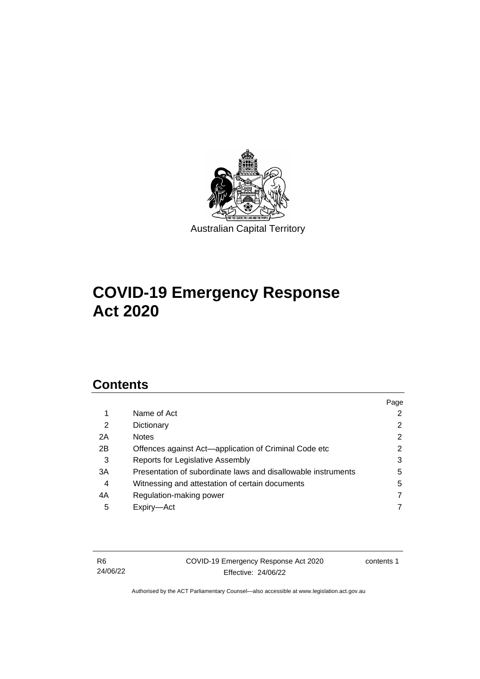

# **COVID-19 Emergency Response Act 2020**

## **Contents**

|    |                                                               | Page           |
|----|---------------------------------------------------------------|----------------|
|    | Name of Act                                                   | $\overline{2}$ |
| 2  | Dictionary                                                    | $\overline{2}$ |
| 2A | <b>Notes</b>                                                  | $\overline{2}$ |
| 2B | Offences against Act—application of Criminal Code etc         | 2              |
| 3  | Reports for Legislative Assembly                              | 3              |
| 3A | Presentation of subordinate laws and disallowable instruments | 5              |
| 4  | Witnessing and attestation of certain documents               | 5              |
| 4A | Regulation-making power                                       | 7              |
| 5  | Expiry—Act                                                    |                |
|    |                                                               |                |

R6 24/06/22 COVID-19 Emergency Response Act 2020 Effective: 24/06/22

contents 1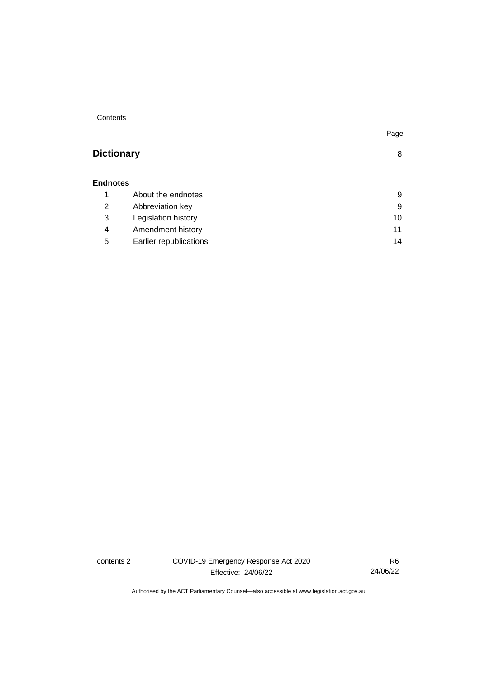**Contents** 

## **[Dictionary](#page-11-0)** [8](#page-11-0)

## **[Endnotes](#page-12-0)**

|   | About the endnotes     | 9  |
|---|------------------------|----|
| 2 | Abbreviation key       | 9  |
| 3 | Legislation history    | 10 |
| 4 | Amendment history      | 11 |
| 5 | Earlier republications | 14 |

contents 2 COVID-19 Emergency Response Act 2020 Effective: 24/06/22

R6 24/06/22

Page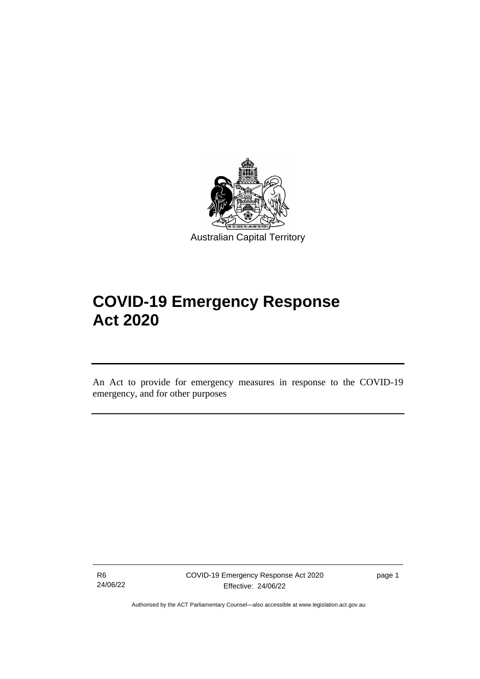

Australian Capital Territory

# **COVID-19 Emergency Response Act 2020**

An Act to provide for emergency measures in response to the COVID-19 emergency, and for other purposes

R6 24/06/22

֡֡֡

page 1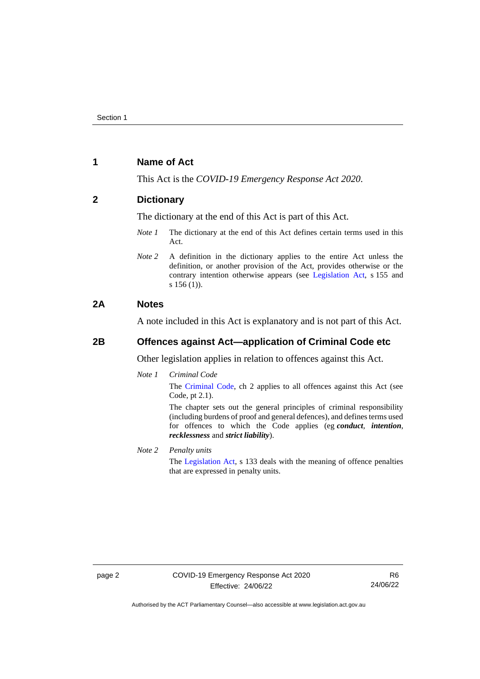## <span id="page-5-0"></span>**1 Name of Act**

This Act is the *COVID-19 Emergency Response Act 2020*.

## <span id="page-5-1"></span>**2 Dictionary**

The dictionary at the end of this Act is part of this Act.

- *Note 1* The dictionary at the end of this Act defines certain terms used in this Act.
- *Note 2* A definition in the dictionary applies to the entire Act unless the definition, or another provision of the Act, provides otherwise or the contrary intention otherwise appears (see [Legislation Act,](http://www.legislation.act.gov.au/a/2001-14) s 155 and s 156 (1)).

## <span id="page-5-2"></span>**2A Notes**

A note included in this Act is explanatory and is not part of this Act.

## <span id="page-5-3"></span>**2B Offences against Act—application of Criminal Code etc**

Other legislation applies in relation to offences against this Act.

*Note 1 Criminal Code*

The [Criminal Code,](http://www.legislation.act.gov.au/a/2002-51) ch 2 applies to all offences against this Act (see Code, pt 2.1).

The chapter sets out the general principles of criminal responsibility (including burdens of proof and general defences), and defines terms used for offences to which the Code applies (eg *conduct*, *intention*, *recklessness* and *strict liability*).

*Note 2 Penalty units* The [Legislation Act,](http://www.legislation.act.gov.au/a/2001-14) s 133 deals with the meaning of offence penalties that are expressed in penalty units.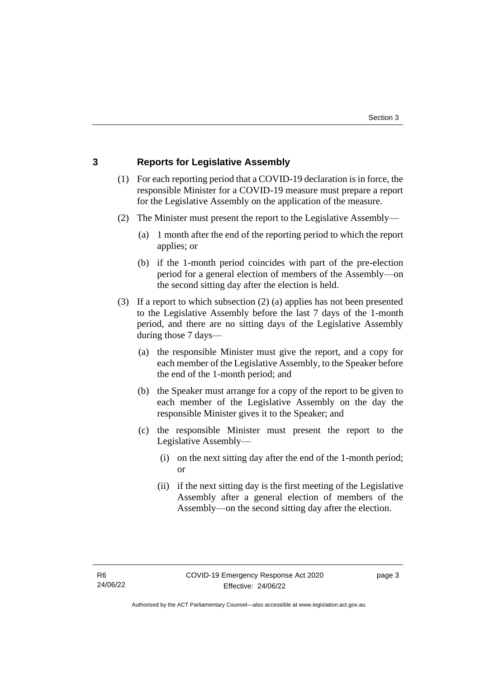## <span id="page-6-0"></span>**3 Reports for Legislative Assembly**

- (1) For each reporting period that a COVID-19 declaration is in force, the responsible Minister for a COVID-19 measure must prepare a report for the Legislative Assembly on the application of the measure.
- (2) The Minister must present the report to the Legislative Assembly—
	- (a) 1 month after the end of the reporting period to which the report applies; or
	- (b) if the 1-month period coincides with part of the pre-election period for a general election of members of the Assembly—on the second sitting day after the election is held.
- (3) If a report to which subsection (2) (a) applies has not been presented to the Legislative Assembly before the last 7 days of the 1-month period, and there are no sitting days of the Legislative Assembly during those 7 days—
	- (a) the responsible Minister must give the report, and a copy for each member of the Legislative Assembly, to the Speaker before the end of the 1-month period; and
	- (b) the Speaker must arrange for a copy of the report to be given to each member of the Legislative Assembly on the day the responsible Minister gives it to the Speaker; and
	- (c) the responsible Minister must present the report to the Legislative Assembly—
		- (i) on the next sitting day after the end of the 1-month period; or
		- (ii) if the next sitting day is the first meeting of the Legislative Assembly after a general election of members of the Assembly—on the second sitting day after the election.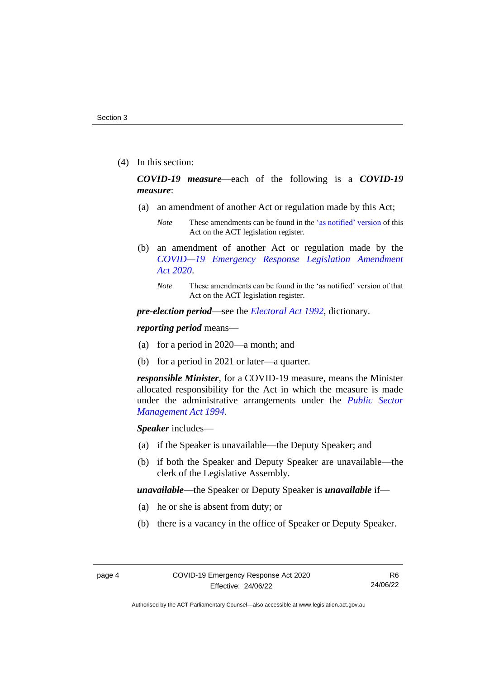(4) In this section:

*COVID-19 measure*—each of the following is a *COVID-19 measure*:

- (a) an amendment of another Act or regulation made by this Act;
	- *Note* These amendments can be found in th[e 'as notified' version](https://legislation.act.gov.au/DownloadFile/a/2020-11/20200408-73648/PDF/2020-11.PDF) of this Act on the ACT legislation register.
- (b) an amendment of another Act or regulation made by the *[COVID—19 Emergency Response Legislation Amendment](http://www.legislation.act.gov.au/a/2020-14/)  Act [2020](http://www.legislation.act.gov.au/a/2020-14/)*.
	- *Note* These amendments can be found in the 'as notified' version of that Act on the ACT legislation register.

*pre-election period*—see the *[Electoral Act 1992](http://www.legislation.act.gov.au/a/1992-71)*, dictionary.

*reporting period* means—

- (a) for a period in 2020—a month; and
- (b) for a period in 2021 or later—a quarter.

*responsible Minister*, for a COVID-19 measure, means the Minister allocated responsibility for the Act in which the measure is made under the administrative arrangements under the *[Public Sector](http://www.legislation.act.gov.au/a/1994-37)  [Management Act 1994](http://www.legislation.act.gov.au/a/1994-37)*.

*Speaker* includes—

- (a) if the Speaker is unavailable—the Deputy Speaker; and
- (b) if both the Speaker and Deputy Speaker are unavailable—the clerk of the Legislative Assembly.

*unavailable—*the Speaker or Deputy Speaker is *unavailable* if—

- (a) he or she is absent from duty; or
- (b) there is a vacancy in the office of Speaker or Deputy Speaker.

R6 24/06/22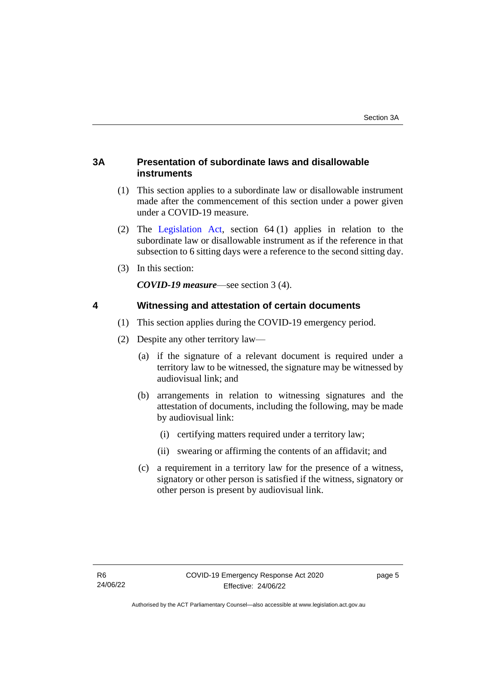## <span id="page-8-0"></span>**3A Presentation of subordinate laws and disallowable instruments**

- (1) This section applies to a subordinate law or disallowable instrument made after the commencement of this section under a power given under a COVID-19 measure.
- (2) The [Legislation Act,](http://www.legislation.act.gov.au/a/2001-14) section 64 (1) applies in relation to the subordinate law or disallowable instrument as if the reference in that subsection to 6 sitting days were a reference to the second sitting day.
- (3) In this section:

*COVID-19 measure*—see section 3 (4).

## <span id="page-8-1"></span>**4 Witnessing and attestation of certain documents**

- (1) This section applies during the COVID-19 emergency period.
- (2) Despite any other territory law—
	- (a) if the signature of a relevant document is required under a territory law to be witnessed, the signature may be witnessed by audiovisual link; and
	- (b) arrangements in relation to witnessing signatures and the attestation of documents, including the following, may be made by audiovisual link:
		- (i) certifying matters required under a territory law;
		- (ii) swearing or affirming the contents of an affidavit; and
	- (c) a requirement in a territory law for the presence of a witness, signatory or other person is satisfied if the witness, signatory or other person is present by audiovisual link.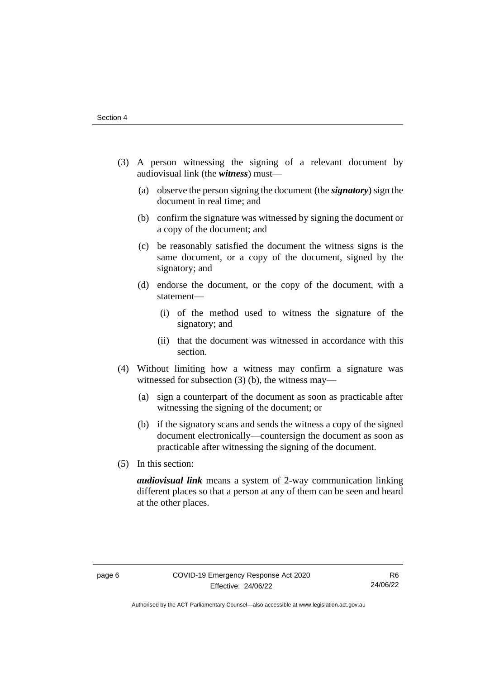- (3) A person witnessing the signing of a relevant document by audiovisual link (the *witness*) must—
	- (a) observe the person signing the document (the *signatory*) sign the document in real time; and
	- (b) confirm the signature was witnessed by signing the document or a copy of the document; and
	- (c) be reasonably satisfied the document the witness signs is the same document, or a copy of the document, signed by the signatory; and
	- (d) endorse the document, or the copy of the document, with a statement—
		- (i) of the method used to witness the signature of the signatory; and
		- (ii) that the document was witnessed in accordance with this section.
- (4) Without limiting how a witness may confirm a signature was witnessed for subsection (3) (b), the witness may—
	- (a) sign a counterpart of the document as soon as practicable after witnessing the signing of the document; or
	- (b) if the signatory scans and sends the witness a copy of the signed document electronically—countersign the document as soon as practicable after witnessing the signing of the document.
- (5) In this section:

*audiovisual link* means a system of 2-way communication linking different places so that a person at any of them can be seen and heard at the other places.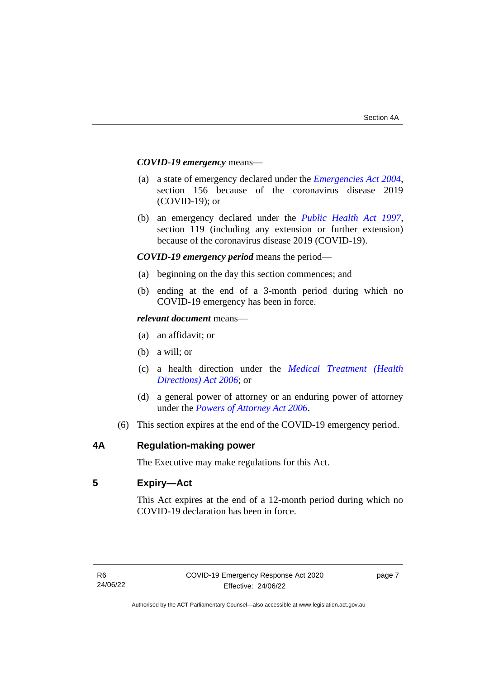#### *COVID-19 emergency* means—

- (a) a state of emergency declared under the *[Emergencies Act 2004](http://www.legislation.act.gov.au/a/2004-28)*, section 156 because of the coronavirus disease 2019 (COVID-19); or
- (b) an emergency declared under the *[Public Health Act 1997](http://www.legislation.act.gov.au/a/1997-69)*, section 119 (including any extension or further extension) because of the coronavirus disease 2019 (COVID-19).

#### *COVID-19 emergency period* means the period—

- (a) beginning on the day this section commences; and
- (b) ending at the end of a 3-month period during which no COVID-19 emergency has been in force.

#### *relevant document* means—

- (a) an affidavit; or
- (b) a will; or
- (c) a health direction under the *[Medical Treatment \(Health](http://www.legislation.act.gov.au/a/2006-51)  [Directions\) Act 2006](http://www.legislation.act.gov.au/a/2006-51)*; or
- (d) a general power of attorney or an enduring power of attorney under the *[Powers of Attorney Act 2006](http://www.legislation.act.gov.au/a/2006-50)*.
- (6) This section expires at the end of the COVID-19 emergency period.

<span id="page-10-0"></span>

## **4A Regulation-making power**

The Executive may make regulations for this Act.

## <span id="page-10-1"></span>**5 Expiry—Act**

This Act expires at the end of a 12-month period during which no COVID-19 declaration has been in force.

page 7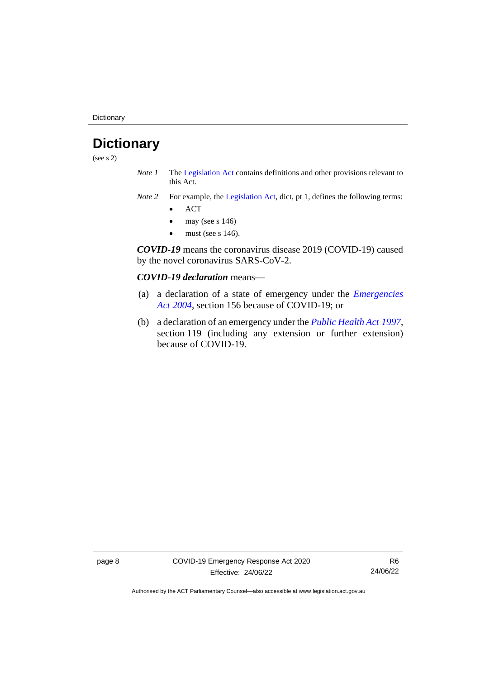**Dictionary** 

# <span id="page-11-0"></span>**Dictionary**

(see s 2)

- *Note 1* The [Legislation Act](http://www.legislation.act.gov.au/a/2001-14) contains definitions and other provisions relevant to this Act.
- *Note 2* For example, the [Legislation Act,](http://www.legislation.act.gov.au/a/2001-14) dict, pt 1, defines the following terms:
	- ACT
	- may (see s  $146$ )
	- must (see s  $146$ ).

*COVID-19* means the coronavirus disease 2019 (COVID-19) caused by the novel coronavirus SARS-CoV-2.

#### *COVID-19 declaration* means—

- (a) a declaration of a state of emergency under the *[Emergencies](http://www.legislation.act.gov.au/a/2004-28)  Act [2004](http://www.legislation.act.gov.au/a/2004-28)*, section 156 because of COVID-19; or
- (b) a declaration of an emergency under the *[Public Health Act](http://www.legislation.act.gov.au/a/1997-69) 1997*, section 119 (including any extension or further extension) because of COVID-19.

page 8 COVID-19 Emergency Response Act 2020 Effective: 24/06/22

R6 24/06/22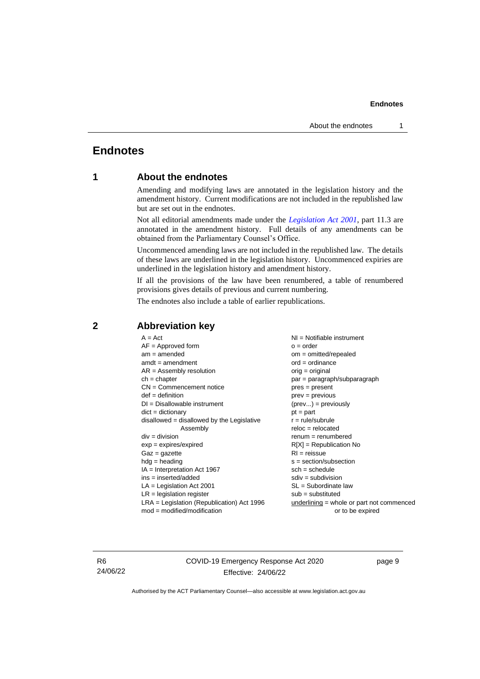## <span id="page-12-1"></span><span id="page-12-0"></span>**Endnotes**

## **1 About the endnotes**

Amending and modifying laws are annotated in the legislation history and the amendment history. Current modifications are not included in the republished law but are set out in the endnotes.

Not all editorial amendments made under the *[Legislation Act 2001](http://www.legislation.act.gov.au/a/2001-14)*, part 11.3 are annotated in the amendment history. Full details of any amendments can be obtained from the Parliamentary Counsel's Office.

Uncommenced amending laws are not included in the republished law. The details of these laws are underlined in the legislation history. Uncommenced expiries are underlined in the legislation history and amendment history.

If all the provisions of the law have been renumbered, a table of renumbered provisions gives details of previous and current numbering.

The endnotes also include a table of earlier republications.

| $A = Act$                                    | $NI =$ Notifiable instrument                |  |
|----------------------------------------------|---------------------------------------------|--|
| $AF =$ Approved form                         | $o = order$                                 |  |
| $am = amended$                               | $om = omitted/repealed$                     |  |
| $amdt = amendment$                           | $ord = ordinance$                           |  |
| $AR = Assembly$ resolution                   | $orig = original$                           |  |
| $ch = chapter$                               | $par = paragraph/subparagraph$              |  |
| $CN =$ Commencement notice                   | $pres = present$                            |  |
| $def = definition$                           | $prev = previous$                           |  |
| $DI = Disallowable instrument$               | $(\text{prev}) = \text{previously}$         |  |
| $dict = dictionary$                          | $pt = part$                                 |  |
| disallowed = disallowed by the Legislative   | $r = rule/subrule$                          |  |
| Assembly                                     | $reloc = relocated$                         |  |
| $div = division$                             | $remum = renumbered$                        |  |
| $exp = expires/expired$                      | $R[X]$ = Republication No                   |  |
| $Gaz = gazette$                              | $RI = reissue$                              |  |
| $hdg =$ heading                              | $s = section/subsection$                    |  |
| $IA = Interpretation Act 1967$               | $sch = schedule$                            |  |
| $ins = inserted/added$                       | $sdiv = subdivision$                        |  |
| $LA =$ Legislation Act 2001                  | $SL = Subordinate$ law                      |  |
| $LR =$ legislation register                  | $sub =$ substituted                         |  |
| $LRA =$ Legislation (Republication) Act 1996 | $underlining = whole or part not commenced$ |  |
| $mod = modified/modification$                | or to be expired                            |  |
|                                              |                                             |  |

## <span id="page-12-2"></span>**2 Abbreviation key**

R6 24/06/22 COVID-19 Emergency Response Act 2020 Effective: 24/06/22

page 9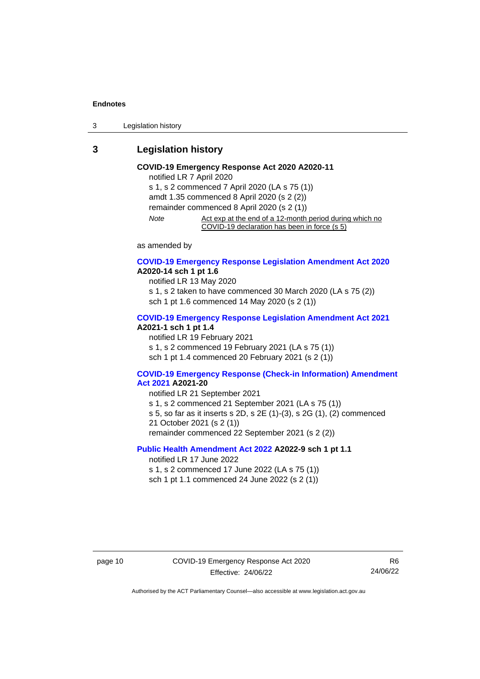3 Legislation history

## <span id="page-13-0"></span>**3 Legislation history**

## **COVID-19 Emergency Response Act 2020 A2020-11**

notified LR 7 April 2020 s 1, s 2 commenced 7 April 2020 (LA s 75 (1)) amdt 1.35 commenced 8 April 2020 (s 2 (2)) remainder commenced 8 April 2020 (s 2 (1)) *Note* Act exp at the end of a 12-month period during which no COVID-19 declaration has been in force (s 5)

as amended by

#### **[COVID-19 Emergency Response Legislation Amendment Act 2020](http://www.legislation.act.gov.au/a/2020-14/) A2020-14 sch 1 pt 1.6**

notified LR 13 May 2020 s 1, s 2 taken to have commenced 30 March 2020 (LA s 75 (2)) sch 1 pt 1.6 commenced 14 May 2020 (s 2 (1))

#### **[COVID-19 Emergency Response Legislation Amendment Act 2021](http://www.legislation.act.gov.au/a/2021-1/) A2021-1 sch 1 pt 1.4**

notified LR 19 February 2021 s 1, s 2 commenced 19 February 2021 (LA s 75 (1)) sch 1 pt 1.4 commenced 20 February 2021 (s 2 (1))

#### **[COVID-19 Emergency Response \(Check-in Information\) Amendment](http://www.legislation.act.gov.au/a/2021-20/)  [Act 2021](http://www.legislation.act.gov.au/a/2021-20/) A2021-20**

notified LR 21 September 2021 s 1, s 2 commenced 21 September 2021 (LA s 75 (1)) s 5, so far as it inserts s 2D, s 2E (1)-(3), s 2G (1), (2) commenced 21 October 2021 (s 2 (1)) remainder commenced 22 September 2021 (s 2 (2))

## **[Public Health Amendment Act 2022](http://www.legislation.act.gov.au/a/2022-9/) A2022-9 sch 1 pt 1.1**

notified LR 17 June 2022

s 1, s 2 commenced 17 June 2022 (LA s 75 (1))

sch 1 pt 1.1 commenced 24 June 2022 (s 2 (1))

R6 24/06/22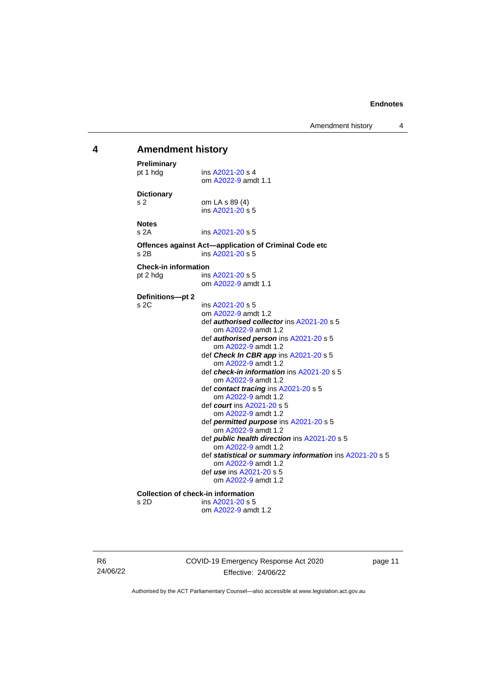Amendment history 4

#### <span id="page-14-0"></span>**4 Amendment history Preliminary**<br>pt 1 hdg ins [A2021-20](http://www.legislation.act.gov.au/a/2021-20/) s 4 om [A2022-9](http://www.legislation.act.gov.au/a/2022-9/) amdt 1.1 **Dictionary** s 2 om LA s 89 (4) ins [A2021-20](http://www.legislation.act.gov.au/a/2021-20/) s 5 **Notes** s 2A ins [A2021-20](http://www.legislation.act.gov.au/a/2021-20/) s 5 **Offences against Act—application of Criminal Code etc** s 2B ins [A2021-20](http://www.legislation.act.gov.au/a/2021-20/) s 5 **Check-in information** pt 2 hdg ins [A2021-20](http://www.legislation.act.gov.au/a/2021-20/) s 5 om [A2022-9](http://www.legislation.act.gov.au/a/2022-9/) amdt 1.1 **Definitions—pt 2** s 2C ins [A2021-20](http://www.legislation.act.gov.au/a/2021-20/) s 5 om [A2022-9](http://www.legislation.act.gov.au/a/2022-9/) amdt 1.2 def *authorised collector* in[s A2021-20](http://www.legislation.act.gov.au/a/2021-20/) s 5 om [A2022-9](http://www.legislation.act.gov.au/a/2022-9/) amdt 1.2 def *authorised person* ins [A2021-20](http://www.legislation.act.gov.au/a/2021-20/) s 5 om [A2022-9](http://www.legislation.act.gov.au/a/2022-9/) amdt 1.2 def *Check In CBR app* in[s A2021-20](http://www.legislation.act.gov.au/a/2021-20/) s 5 om [A2022-9](http://www.legislation.act.gov.au/a/2022-9/) amdt 1.2 def *check-in information* ins [A2021-20](http://www.legislation.act.gov.au/a/2021-20/) s 5 om [A2022-9](http://www.legislation.act.gov.au/a/2022-9/) amdt 1.2 def *contact tracing* ins [A2021-20](http://www.legislation.act.gov.au/a/2021-20/) s 5 om [A2022-9](http://www.legislation.act.gov.au/a/2022-9/) amdt 1.2 def *court* ins [A2021-20](http://www.legislation.act.gov.au/a/2021-20/) s 5 om [A2022-9](http://www.legislation.act.gov.au/a/2022-9/) amdt 1.2 def *permitted purpose* in[s A2021-20](http://www.legislation.act.gov.au/a/2021-20/) s 5 om [A2022-9](http://www.legislation.act.gov.au/a/2022-9/) amdt 1.2 def *public health direction* in[s A2021-20](http://www.legislation.act.gov.au/a/2021-20/) s 5 om [A2022-9](http://www.legislation.act.gov.au/a/2022-9/) amdt 1.2 def *statistical or summary information* ins [A2021-20](http://www.legislation.act.gov.au/a/2021-20/) s 5 om [A2022-9](http://www.legislation.act.gov.au/a/2022-9/) amdt 1.2 def *use* ins [A2021-20](http://www.legislation.act.gov.au/a/2021-20/) s 5 om [A2022-9](http://www.legislation.act.gov.au/a/2022-9/) amdt 1.2 **Collection of check-in information** s 2D ins [A2021-20](http://www.legislation.act.gov.au/a/2021-20/) s 5 om [A2022-9](http://www.legislation.act.gov.au/a/2022-9/) amdt 1.2

R6 24/06/22 COVID-19 Emergency Response Act 2020 Effective: 24/06/22

page 11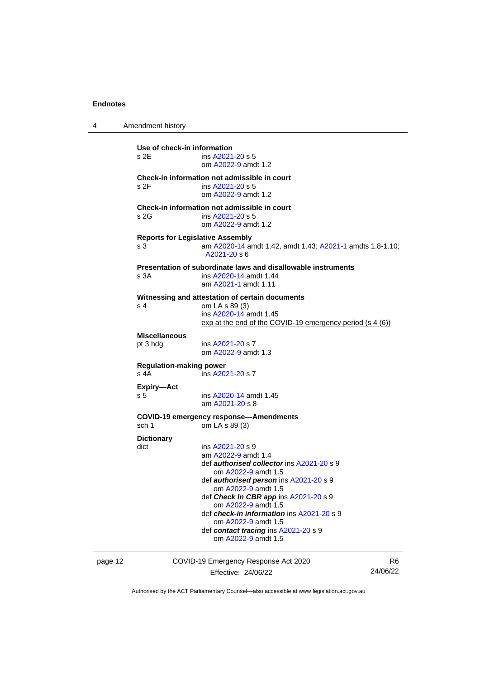| 4                                                              | Amendment history                   |                                                                                                                                                                                                                                                                                                                                                                                                 |  |  |
|----------------------------------------------------------------|-------------------------------------|-------------------------------------------------------------------------------------------------------------------------------------------------------------------------------------------------------------------------------------------------------------------------------------------------------------------------------------------------------------------------------------------------|--|--|
|                                                                | Use of check-in information<br>s 2E | ins A2021-20 s 5<br>om A2022-9 amdt 1.2                                                                                                                                                                                                                                                                                                                                                         |  |  |
|                                                                | s 2F                                | Check-in information not admissible in court<br>ins A2021-20 s 5<br>om A2022-9 amdt 1.2                                                                                                                                                                                                                                                                                                         |  |  |
|                                                                | s 2G                                | Check-in information not admissible in court<br>ins A2021-20 s 5<br>om A2022-9 amdt 1.2                                                                                                                                                                                                                                                                                                         |  |  |
| <b>Reports for Legislative Assembly</b><br>s 3<br>A2021-20 s 6 |                                     | am A2020-14 amdt 1.42, amdt 1.43; A2021-1 amdts 1.8-1.10;                                                                                                                                                                                                                                                                                                                                       |  |  |
|                                                                | s 3A                                | Presentation of subordinate laws and disallowable instruments<br>ins A2020-14 amdt 1.44<br>am A2021-1 amdt 1.11                                                                                                                                                                                                                                                                                 |  |  |
|                                                                | s 4                                 | Witnessing and attestation of certain documents<br>om LA s 89 (3)<br>ins A2020-14 amdt 1.45<br>$\frac{exp at the end of the COVID-19 emergency period (s 4 (6))}{e}$                                                                                                                                                                                                                            |  |  |
|                                                                | <b>Miscellaneous</b><br>pt 3 hdg    | ins A2021-20 s 7<br>om A2022-9 amdt 1.3                                                                                                                                                                                                                                                                                                                                                         |  |  |
| <b>Regulation-making power</b><br>s 4A<br>ins A2021-20 s 7     |                                     |                                                                                                                                                                                                                                                                                                                                                                                                 |  |  |
|                                                                | Expiry-Act<br>s <sub>5</sub>        | ins A2020-14 amdt 1.45<br>am A2021-20 s 8                                                                                                                                                                                                                                                                                                                                                       |  |  |
|                                                                | sch 1                               | <b>COVID-19 emergency response-Amendments</b><br>om LA s 89 (3)                                                                                                                                                                                                                                                                                                                                 |  |  |
|                                                                | <b>Dictionary</b><br>dict           | ins A2021-20 s 9<br>am A2022-9 amdt 1.4<br>def <b>authorised collector</b> ins A2021-20 s 9<br>om A2022-9 amdt 1.5<br>def <i>authorised person</i> ins A2021-20 s 9<br>om A2022-9 amdt 1.5<br>def Check In CBR app ins $A2021-20 s 9$<br>om A2022-9 amdt 1.5<br>def check-in information ins A2021-20 s 9<br>om A2022-9 amdt 1.5<br>def contact tracing ins A2021-20 s 9<br>om A2022-9 amdt 1.5 |  |  |

page 12 COVID-19 Emergency Response Act 2020 Effective: 24/06/22

R6 24/06/22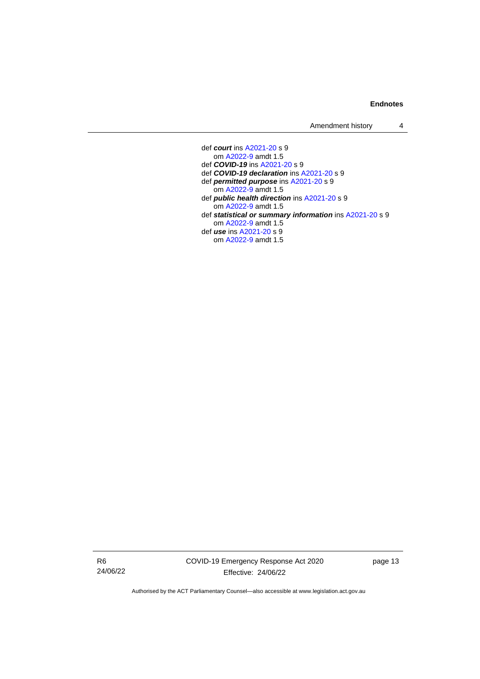Amendment history 4

def *court* ins [A2021-20](http://www.legislation.act.gov.au/a/2021-20/) s 9 om [A2022-9](http://www.legislation.act.gov.au/a/2022-9/) amdt 1.5 def *COVID-19* ins [A2021-20](http://www.legislation.act.gov.au/a/2021-20/) s 9 def *COVID-19 declaration* in[s A2021-20](http://www.legislation.act.gov.au/a/2021-20/) s 9 def *permitted purpose* in[s A2021-20](http://www.legislation.act.gov.au/a/2021-20/) s 9 om [A2022-9](http://www.legislation.act.gov.au/a/2022-9/) amdt 1.5 def *public health direction* in[s A2021-20](http://www.legislation.act.gov.au/a/2021-20/) s 9 om [A2022-9](http://www.legislation.act.gov.au/a/2022-9/) amdt 1.5 def *statistical or summary information* ins [A2021-20](http://www.legislation.act.gov.au/a/2021-20/) s 9 om [A2022-9](http://www.legislation.act.gov.au/a/2022-9/) amdt 1.5 def *use* ins [A2021-20](http://www.legislation.act.gov.au/a/2021-20/) s 9 om [A2022-9](http://www.legislation.act.gov.au/a/2022-9/) amdt 1.5

R6 24/06/22 COVID-19 Emergency Response Act 2020 Effective: 24/06/22

page 13